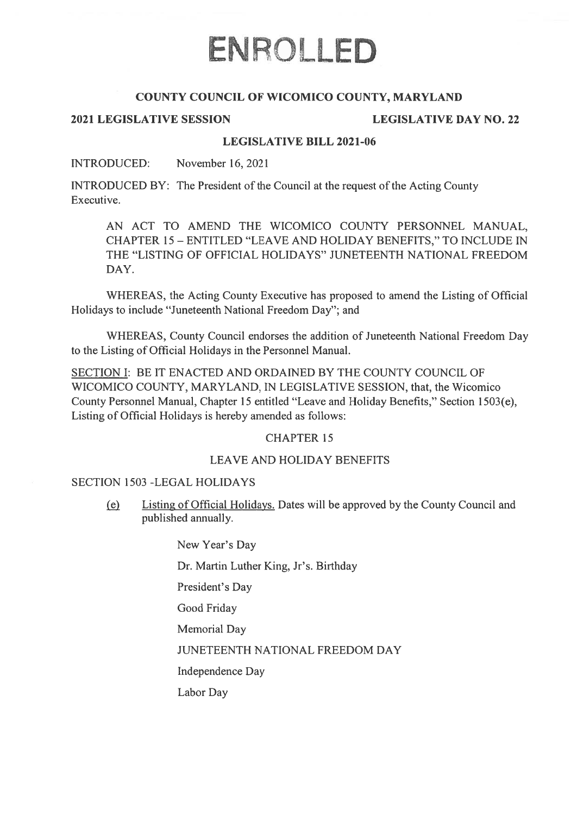# ENROLLED

## COUNTY COUNCIL OF WICOMICO COUNTY, MARYLAND

### 2021 LEGISLATIVE SESSION LEGISLATIVE DAY NO.22

#### LEGISLATIVE BILL 2021-06

#### INTRODUCED: November 16, 2021

**INTRODUCED BY:** The President of the Council at the request of the Acting County Executive.

AN ACT TO AMEND THE WICOMICO COUNTY PERSONNEL MANUAL, CHAPTER 15- ENTITLED "LEAVE AND HOLIDAY BENEFITS," TO INCLUDE IN THE "LISTING OF OFFICIAL HOLIDAYS" JUNETEENTH NATIONAL FREEDOM DAY.

WHEREAS, the Acting County Executive has proposed to amend the Listing of Official Holidays to include "Juneteenth National Freedom Day"; and

WHEREAS, County Council endorses the addition of Juneteenth National Freedom Day to the Listing of Official Holidays in the Personnel Manual.

SECTION I: BE IT ENACTED AND ORDAINED BY THE COUNTY COUNCIL OF WICOMICO COUNTY, MARYLAND, IN LEGISLATIVE SESSION, that, the Wicomico County Personnel Manual, Chapter 15 entitled "Leave and Holiday Benefits," Section 1503(e), Listing of Official Holidays is hereby amended as follows:

### CHAPTER 15

# LEAVE AND HOLIDAY BENEFITS

#### SECTION 1503 -LEGAL HOLIDAYS

(ç) Listing of Official Holidays. Dates will be approve<sup>d</sup> by the County Council and published annually.

New Year's Day

Dr. Martin Luther King, Jr's. Birthday

President's Day

Good Friday

Memorial Day

JUNETEENTH NATIONAL FREEDOM DAY

Independence Day

Labor Day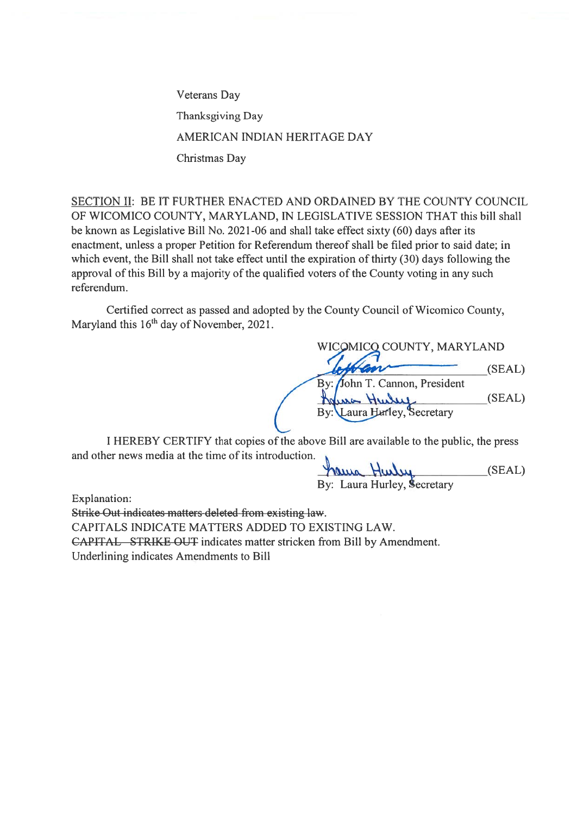Veterans Day Thanksgiving Day AMERICAN INDIAN HERITAGE DAY Christmas Day

SECTION II: BE IT FURTHER ENACTED AND ORDAINED BY THE COUNTY COUNCIL OF WICOMICO COUNTY, MARYLAND, IN LEGISLATIVE SESSION THAT this bill shall be known as Legislative Bill No. 2021-06 and shall take effect sixty (60) days after its enactment, unless <sup>a</sup> proper Petition for Referendum thereof shall be filed prior to said date; in which event, the Bill shall not take effect until the expiration of thirty (30) days following the approval of this Bill by <sup>a</sup> majority of the qualified voters of the County voting in any such referendum.

Certified correct as passed and adopted by the County Council of Wicornico County, Maryland this  $16<sup>th</sup>$  day of November, 2021.

WICOMICO COUNTY, MARYLAND  $(SEAL)$ By: John T. Cannon, President  $(SEAL)$ Hulut  $By:$ Laura Hurley, Secretary

I HEREBY CERTIFY that copies of the above Bill are available to the public, the press and other news media at the time of its introduction.

haus Hulu  $(SEAL)$ By: Laura Hurley, Secretary

Explanation:

Strike Out indicates matters deleted from existing law. CAPITALS INDICATE MATTERS ADDED TO EXISTING LAW. CAPITAL STRIKE OUT indicates matter stricken from Bill by Amendment. Underlining indicates Amendments to Bill